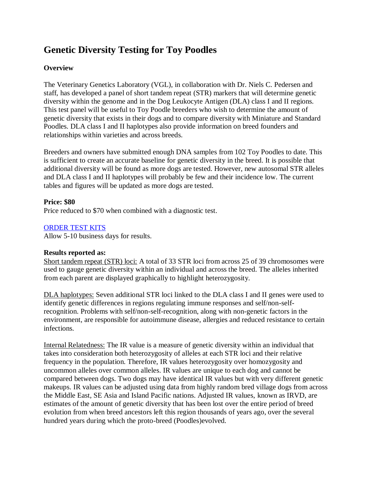# **Genetic Diversity Testing for Toy Poodles**

#### **Overview**

The Veterinary Genetics Laboratory (VGL), in collaboration with Dr. Niels C. Pedersen and staff, has developed a panel of short tandem repeat (STR) markers that will determine genetic diversity within the genome and in the Dog Leukocyte Antigen (DLA) class I and II regions. This test panel will be useful to Toy Poodle breeders who wish to determine the amount of genetic diversity that exists in their dogs and to compare diversity with Miniature and Standard Poodles. DLA class I and II haplotypes also provide information on breed founders and relationships within varieties and across breeds.

Breeders and owners have submitted enough DNA samples from 102 Toy Poodles to date. This is sufficient to create an accurate baseline for genetic diversity in the breed. It is possible that additional diversity will be found as more dogs are tested. However, new autosomal STR alleles and DLA class I and II haplotypes will probably be few and their incidence low. The current tables and figures will be updated as more dogs are tested.

#### **Price: \$80**

Price reduced to \$70 when combined with a diagnostic test.

#### [ORDER TEST KITS](https://www.vgl.ucdavis.edu/myvgl/dogsporder.html)

Allow 5-10 business days for results.

#### **Results reported as:**

Short tandem repeat (STR) loci: A total of 33 STR loci from across 25 of 39 chromosomes were used to gauge genetic diversity within an individual and across the breed. The alleles inherited from each parent are displayed graphically to highlight heterozygosity.

DLA haplotypes: Seven additional STR loci linked to the DLA class I and II genes were used to identify genetic differences in regions regulating immune responses and self/non-selfrecognition. Problems with self/non-self-recognition, along with non-genetic factors in the environment, are responsible for autoimmune disease, allergies and reduced resistance to certain infections.

Internal Relatedness: The IR value is a measure of genetic diversity within an individual that takes into consideration both heterozygosity of alleles at each STR loci and their relative frequency in the population. Therefore, IR values heterozygosity over homozygosity and uncommon alleles over common alleles. IR values are unique to each dog and cannot be compared between dogs. Two dogs may have identical IR values but with very different genetic makeups. IR values can be adjusted using data from highly random bred village dogs from across the Middle East, SE Asia and Island Pacific nations. Adjusted IR values, known as IRVD, are estimates of the amount of genetic diversity that has been lost over the entire period of breed evolution from when breed ancestors left this region thousands of years ago, over the several hundred years during which the proto-breed (Poodles)evolved.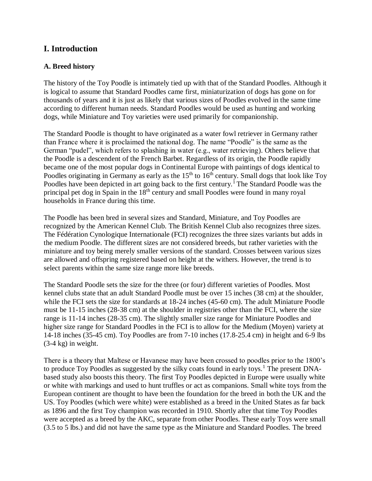## **I. Introduction**

#### **A. Breed history**

The history of the Toy Poodle is intimately tied up with that of the Standard Poodles. Although it is logical to assume that Standard Poodles came first, miniaturization of dogs has gone on for thousands of years and it is just as likely that various sizes of Poodles evolved in the same time according to different human needs. Standard Poodles would be used as hunting and working dogs, while Miniature and Toy varieties were used primarily for companionship.

The Standard Poodle is thought to have originated as a water fowl retriever in Germany rather than France where it is proclaimed the national dog. The name "Poodle" is the same as the German "pudel", which refers to splashing in water (e.g., water retrieving). Others believe that the Poodle is a descendent of the French Barbet. Regardless of its origin, the Poodle rapidly became one of the most popular dogs in Continental Europe with paintings of dogs identical to Poodles originating in Germany as early as the  $15<sup>th</sup>$  to  $16<sup>th</sup>$  century. Small dogs that look like Toy Poodles have been depicted in art going back to the first century.<sup>1</sup> The Standard Poodle was the principal pet dog in Spain in the 18th century and small Poodles were found in many royal households in France during this time.

The Poodle has been bred in several sizes and Standard, Miniature, and Toy Poodles are recognized by the American Kennel Club. The British Kennel Club also recognizes three sizes. The Fédération Cynologique Internationale (FCI) recognizes the three sizes variants but adds in the medium Poodle. The different sizes are not considered breeds, but rather varieties with the miniature and toy being merely smaller versions of the standard. Crosses between various sizes are allowed and offspring registered based on height at the withers. However, the trend is to select parents within the same size range more like breeds.

The Standard Poodle sets the size for the three (or four) different varieties of Poodles. Most kennel clubs state that an adult Standard Poodle must be over 15 inches (38 cm) at the shoulder, while the FCI sets the size for standards at 18-24 inches (45-60 cm). The adult Miniature Poodle must be 11-15 inches (28-38 cm) at the shoulder in registries other than the FCI, where the size range is 11-14 inches (28-35 cm). The slightly smaller size range for Miniature Poodles and higher size range for Standard Poodles in the FCI is to allow for the Medium (Moyen) variety at 14-18 inches (35-45 cm). Toy Poodles are from 7-10 inches (17.8-25.4 cm) in height and 6-9 lbs (3-4 kg) in weight.

There is a theory that Maltese or Havanese may have been crossed to poodles prior to the 1800's to produce Toy Poodles as suggested by the silky coats found in early toys.<sup>1</sup> The present DNAbased study also boosts this theory. The first Toy Poodles depicted in Europe were usually white or white with markings and used to hunt truffles or act as companions. Small white toys from the European continent are thought to have been the foundation for the breed in both the UK and the US. Toy Poodles (which were white) were established as a breed in the United States as far back as 1896 and the first Toy champion was recorded in 1910. Shortly after that time Toy Poodles were accepted as a breed by the AKC, separate from other Poodles. These early Toys were small (3.5 to 5 lbs.) and did not have the same type as the Miniature and Standard Poodles. The breed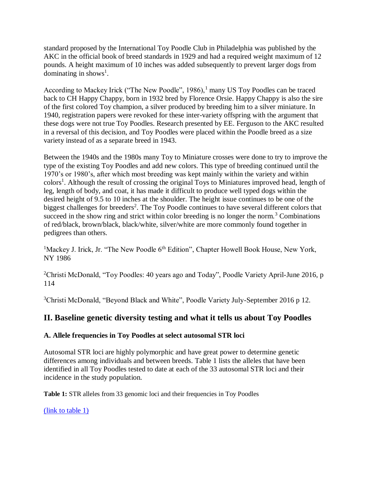standard proposed by the International Toy Poodle Club in Philadelphia was published by the AKC in the official book of breed standards in 1929 and had a required weight maximum of 12 pounds. A height maximum of 10 inches was added subsequently to prevent larger dogs from dominating in shows<sup>1</sup>.

According to Mackey Irick ("The New Poodle", 1986), $<sup>1</sup>$  many US Toy Poodles can be traced</sup> back to CH Happy Chappy, born in 1932 bred by Florence Orsie. Happy Chappy is also the sire of the first colored Toy champion, a silver produced by breeding him to a silver miniature. In 1940, registration papers were revoked for these inter-variety offspring with the argument that these dogs were not true Toy Poodles. Research presented by EE. Ferguson to the AKC resulted in a reversal of this decision, and Toy Poodles were placed within the Poodle breed as a size variety instead of as a separate breed in 1943.

Between the 1940s and the 1980s many Toy to Miniature crosses were done to try to improve the type of the existing Toy Poodles and add new colors. This type of breeding continued until the 1970's or 1980's, after which most breeding was kept mainly within the variety and within colors<sup>1</sup>. Although the result of crossing the original Toys to Miniatures improved head, length of leg, length of body, and coat, it has made it difficult to produce well typed dogs within the desired height of 9.5 to 10 inches at the shoulder. The height issue continues to be one of the biggest challenges for breeders<sup>2</sup>. The Toy Poodle continues to have several different colors that succeed in the show ring and strict within color breeding is no longer the norm.<sup>3</sup> Combinations of red/black, brown/black, black/white, silver/white are more commonly found together in pedigrees than others.

<sup>1</sup>Mackey J. Irick, Jr. "The New Poodle 6<sup>th</sup> Edition", Chapter Howell Book House, New York, NY 1986

<sup>2</sup>Christi McDonald, "Toy Poodles: 40 years ago and Today", Poodle Variety April-June 2016, p 114

<sup>3</sup>Christi McDonald, "Beyond Black and White", Poodle Variety July-September 2016 p 12.

# **II. Baseline genetic diversity testing and what it tells us about Toy Poodles**

#### **A. Allele frequencies in Toy Poodles at select autosomal STR loci**

Autosomal STR loci are highly polymorphic and have great power to determine genetic differences among individuals and between breeds. Table 1 lists the alleles that have been identified in all Toy Poodles tested to date at each of the 33 autosomal STR loci and their incidence in the study population.

Table 1: STR alleles from 33 genomic loci and their frequencies in Toy Poodles

[\(link to table 1\)](https://www.vgl.ucdavis.edu/services/dog/GeneticDiversityInToyPoodlesSTRInfo.php)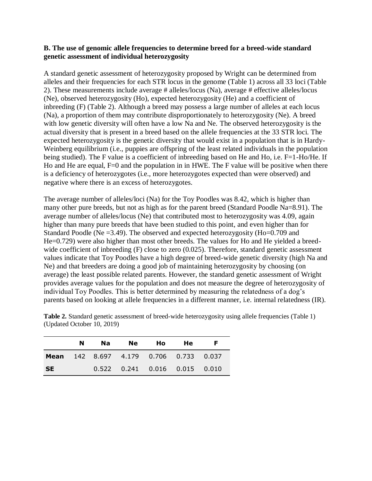#### **B. The use of genomic allele frequencies to determine breed for a breed-wide standard genetic assessment of individual heterozygosity**

A standard genetic assessment of heterozygosity proposed by Wright can be determined from alleles and their frequencies for each STR locus in the genome (Table 1) across all 33 loci (Table 2). These measurements include average # alleles/locus (Na), average # effective alleles/locus (Ne), observed heterozygosity (Ho), expected heterozygosity (He) and a coefficient of inbreeding (F) (Table 2). Although a breed may possess a large number of alleles at each locus (Na), a proportion of them may contribute disproportionately to heterozygosity (Ne). A breed with low genetic diversity will often have a low Na and Ne. The observed heterozygosity is the actual diversity that is present in a breed based on the allele frequencies at the 33 STR loci. The expected heterozygosity is the genetic diversity that would exist in a population that is in Hardy-Weinberg equilibrium (i.e., puppies are offspring of the least related individuals in the population being studied). The F value is a coefficient of inbreeding based on He and Ho, i.e. F=1-Ho/He. If Ho and He are equal,  $F=0$  and the population in in HWE. The F value will be positive when there is a deficiency of heterozygotes (i.e., more heterozygotes expected than were observed) and negative where there is an excess of heterozygotes.

The average number of alleles/loci (Na) for the Toy Poodles was 8.42, which is higher than many other pure breeds, but not as high as for the parent breed (Standard Poodle Na=8.91). The average number of alleles/locus (Ne) that contributed most to heterozygosity was 4.09, again higher than many pure breeds that have been studied to this point, and even higher than for Standard Poodle (Ne =3.49). The observed and expected heterozygosity (Ho=0.709 and He=0.729) were also higher than most other breeds. The values for Ho and He yielded a breedwide coefficient of inbreeding (F) close to zero (0.025). Therefore, standard genetic assessment values indicate that Toy Poodles have a high degree of breed-wide genetic diversity (high Na and Ne) and that breeders are doing a good job of maintaining heterozygosity by choosing (on average) the least possible related parents. However, the standard genetic assessment of Wright provides average values for the population and does not measure the degree of heterozygosity of individual Toy Poodles. This is better determined by measuring the relatedness of a dog's parents based on looking at allele frequencies in a different manner, i.e. internal relatedness (IR).

|           | N. | Na l | <b>Ne</b>                                     | Ho | <b>He</b> |  |
|-----------|----|------|-----------------------------------------------|----|-----------|--|
|           |    |      | <b>Mean</b> 142 8.697 4.179 0.706 0.733 0.037 |    |           |  |
| <b>SE</b> |    |      | $0.522$ 0.241 0.016 0.015 0.010               |    |           |  |

**Table 2.** Standard genetic assessment of breed-wide heterozygosity using allele frequencies (Table 1) (Updated October 10, 2019)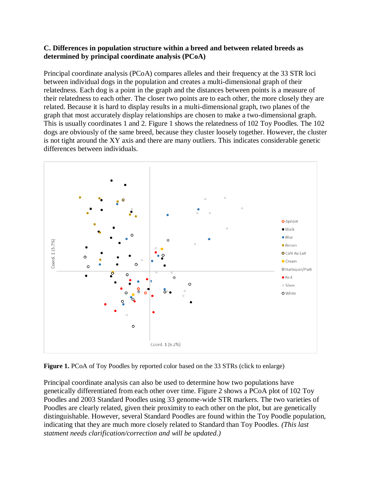#### **C. Differences in population structure within a breed and between related breeds as determined by principal coordinate analysis (PCoA)**

Principal coordinate analysis (PCoA) compares alleles and their frequency at the 33 STR loci between individual dogs in the population and creates a multi-dimensional graph of their relatedness. Each dog is a point in the graph and the distances between points is a measure of their relatedness to each other. The closer two points are to each other, the more closely they are related. Because it is hard to display results in a multi-dimensional graph, two planes of the graph that most accurately display relationships are chosen to make a two-dimensional graph. This is usually coordinates 1 and 2. Figure 1 shows the relatedness of 102 Toy Poodles. The 102 dogs are obviously of the same breed, because they cluster loosely together. However, the cluster is not tight around the XY axis and there are many outliers. This indicates considerable genetic differences between individuals.



**Figure 1.** PCoA of Toy Poodles by reported color based on the 33 STRs (click to enlarge)

Principal coordinate analysis can also be used to determine how two populations have genetically differentiated from each other over time. Figure 2 shows a PCoA plot of 102 Toy Poodles and 2003 Standard Poodles using 33 genome-wide STR markers. The two varieties of Poodles are clearly related, given their proximity to each other on the plot, but are genetically distinguishable. However, several Standard Poodles are found within the Toy Poodle population, indicating that they are much more closely related to Standard than Toy Poodles. *(This last statment needs clarification/correction and will be updated.)*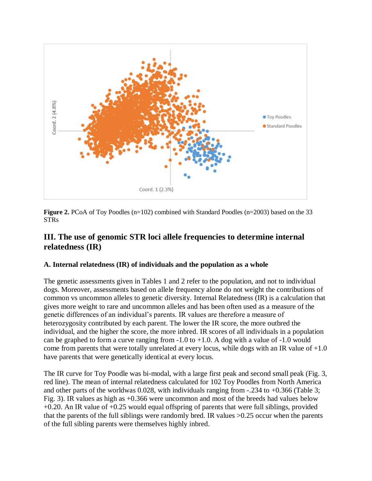

**Figure 2.** PCoA of Toy Poodles (n=102) combined with Standard Poodles (n=2003) based on the 33 **STRs** 

## **III. The use of genomic STR loci allele frequencies to determine internal relatedness (IR)**

#### **A. Internal relatedness (IR) of individuals and the population as a whole**

The genetic assessments given in Tables 1 and 2 refer to the population, and not to individual dogs. Moreover, assessments based on allele frequency alone do not weight the contributions of common vs uncommon alleles to genetic diversity. Internal Relatedness (IR) is a calculation that gives more weight to rare and uncommon alleles and has been often used as a measure of the genetic differences of an individual's parents. IR values are therefore a measure of heterozygosity contributed by each parent. The lower the IR score, the more outbred the individual, and the higher the score, the more inbred. IR scores of all individuals in a population can be graphed to form a curve ranging from  $-1.0$  to  $+1.0$ . A dog with a value of  $-1.0$  would come from parents that were totally unrelated at every locus, while dogs with an IR value of  $+1.0$ have parents that were genetically identical at every locus.

The IR curve for Toy Poodle was bi-modal, with a large first peak and second small peak (Fig. 3, red line). The mean of internal relatedness calculated for 102 Toy Poodles from North America and other parts of the worldwas 0.028, with individuals ranging from -.234 to +0.366 (Table 3; Fig. 3). IR values as high as +0.366 were uncommon and most of the breeds had values below +0.20. An IR value of +0.25 would equal offspring of parents that were full siblings, provided that the parents of the full siblings were randomly bred. IR values >0.25 occur when the parents of the full sibling parents were themselves highly inbred.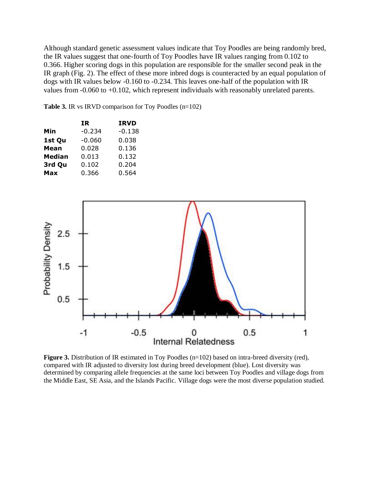Although standard genetic assessment values indicate that Toy Poodles are being randomly bred, the IR values suggest that one-fourth of Toy Poodles have IR values ranging from 0.102 to 0.366. Higher scoring dogs in this population are responsible for the smaller second peak in the IR graph (Fig. 2). The effect of these more inbred dogs is counteracted by an equal population of dogs with IR values below -0.160 to -0.234. This leaves one-half of the population with IR values from -0.060 to +0.102, which represent individuals with reasonably unrelated parents.

**Table 3.** IR vs IRVD comparison for Toy Poodles (n=102)

|               | IR       | <b>IRVD</b> |
|---------------|----------|-------------|
| Min           | $-0.234$ | $-0.138$    |
| 1st Qu        | $-0.060$ | 0.038       |
| Mean          | 0.028    | 0.136       |
| <b>Median</b> | 0.013    | 0.132       |
| 3rd Qu        | 0.102    | 0.204       |
| <b>Max</b>    | 0.366    | 0.564       |



**Figure 3.** Distribution of IR estimated in Toy Poodles (n=102) based on intra-breed diversity (red), compared with IR adjusted to diversity lost during breed development (blue). Lost diversity was determined by comparing allele frequencies at the same loci between Toy Poodles and village dogs from the Middle East, SE Asia, and the Islands Pacific. Village dogs were the most diverse population studied.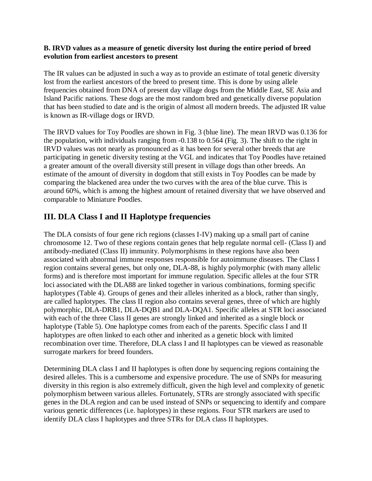#### **B. IRVD values as a measure of genetic diversity lost during the entire period of breed evolution from earliest ancestors to present**

The IR values can be adjusted in such a way as to provide an estimate of total genetic diversity lost from the earliest ancestors of the breed to present time. This is done by using allele frequencies obtained from DNA of present day village dogs from the Middle East, SE Asia and Island Pacific nations. These dogs are the most random bred and genetically diverse population that has been studied to date and is the origin of almost all modern breeds. The adjusted IR value is known as IR-village dogs or IRVD.

The IRVD values for Toy Poodles are shown in Fig. 3 (blue line). The mean IRVD was 0.136 for the population, with individuals ranging from -0.138 to 0.564 (Fig. 3). The shift to the right in IRVD values was not nearly as pronounced as it has been for several other breeds that are participating in genetic diversity testing at the VGL and indicates that Toy Poodles have retained a greater amount of the overall diversity still present in village dogs than other breeds. An estimate of the amount of diversity in dogdom that still exists in Toy Poodles can be made by comparing the blackened area under the two curves with the area of the blue curve. This is around 60%, which is among the highest amount of retained diversity that we have observed and comparable to Miniature Poodles.

# **III. DLA Class I and II Haplotype frequencies**

The DLA consists of four gene rich regions (classes I-IV) making up a small part of canine chromosome 12. Two of these regions contain genes that help regulate normal cell- (Class I) and antibody-mediated (Class II) immunity. Polymorphisms in these regions have also been associated with abnormal immune responses responsible for autoimmune diseases. The Class I region contains several genes, but only one, DLA-88, is highly polymorphic (with many allelic forms) and is therefore most important for immune regulation. Specific alleles at the four STR loci associated with the DLA88 are linked together in various combinations, forming specific haplotypes (Table 4). Groups of genes and their alleles inherited as a block, rather than singly, are called haplotypes. The class II region also contains several genes, three of which are highly polymorphic, DLA-DRB1, DLA-DQB1 and DLA-DQA1. Specific alleles at STR loci associated with each of the three Class II genes are strongly linked and inherited as a single block or haplotype (Table 5). One haplotype comes from each of the parents. Specific class I and II haplotypes are often linked to each other and inherited as a genetic block with limited recombination over time. Therefore, DLA class I and II haplotypes can be viewed as reasonable surrogate markers for breed founders.

Determining DLA class I and II haplotypes is often done by sequencing regions containing the desired alleles. This is a cumbersome and expensive procedure. The use of SNPs for measuring diversity in this region is also extremely difficult, given the high level and complexity of genetic polymorphism between various alleles. Fortunately, STRs are strongly associated with specific genes in the DLA region and can be used instead of SNPs or sequencing to identify and compare various genetic differences (i.e. haplotypes) in these regions. Four STR markers are used to identify DLA class I haplotypes and three STRs for DLA class II haplotypes.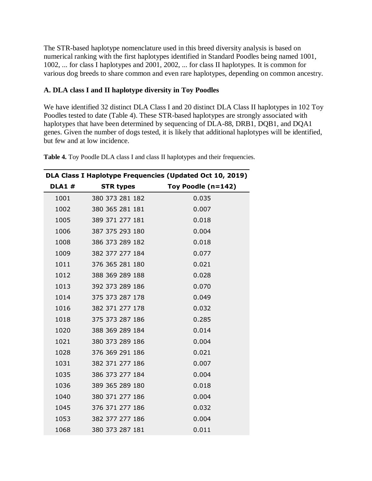The STR-based haplotype nomenclature used in this breed diversity analysis is based on numerical ranking with the first haplotypes identified in Standard Poodles being named 1001, 1002, ... for class I haplotypes and 2001, 2002, ... for class II haplotypes. It is common for various dog breeds to share common and even rare haplotypes, depending on common ancestry.

#### **A. DLA class I and II haplotype diversity in Toy Poodles**

We have identified 32 distinct DLA Class I and 20 distinct DLA Class II haplotypes in 102 Toy Poodles tested to date (Table 4). These STR-based haplotypes are strongly associated with haplotypes that have been determined by sequencing of DLA-88, DRB1, DQB1, and DQA1 genes. Given the number of dogs tested, it is likely that additional haplotypes will be identified, but few and at low incidence.

|              |                  | DLA Class I Haplotype Frequencies (Updated Oct 10, 2019) |
|--------------|------------------|----------------------------------------------------------|
| <b>DLA1#</b> | <b>STR types</b> | Toy Poodle (n=142)                                       |
| 1001         | 380 373 281 182  | 0.035                                                    |
| 1002         | 380 365 281 181  | 0.007                                                    |
| 1005         | 389 371 277 181  | 0.018                                                    |
| 1006         | 387 375 293 180  | 0.004                                                    |
| 1008         | 386 373 289 182  | 0.018                                                    |
| 1009         | 382 377 277 184  | 0.077                                                    |
| 1011         | 376 365 281 180  | 0.021                                                    |
| 1012         | 388 369 289 188  | 0.028                                                    |
| 1013         | 392 373 289 186  | 0.070                                                    |
| 1014         | 375 373 287 178  | 0.049                                                    |
| 1016         | 382 371 277 178  | 0.032                                                    |
| 1018         | 375 373 287 186  | 0.285                                                    |
| 1020         | 388 369 289 184  | 0.014                                                    |
| 1021         | 380 373 289 186  | 0.004                                                    |
| 1028         | 376 369 291 186  | 0.021                                                    |
| 1031         | 382 371 277 186  | 0.007                                                    |
| 1035         | 386 373 277 184  | 0.004                                                    |
| 1036         | 389 365 289 180  | 0.018                                                    |
| 1040         | 380 371 277 186  | 0.004                                                    |
| 1045         | 376 371 277 186  | 0.032                                                    |
| 1053         | 382 377 277 186  | 0.004                                                    |
| 1068         | 380 373 287 181  | 0.011                                                    |

Table 4. Toy Poodle DLA class I and class II haplotypes and their frequencies.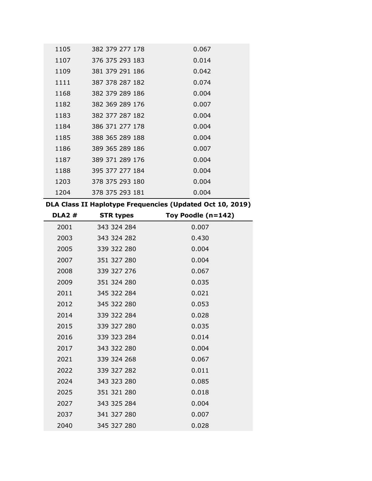| 1105 | 382 379 277 178 | 0.067 |  |
|------|-----------------|-------|--|
| 1107 | 376 375 293 183 | 0.014 |  |
| 1109 | 381 379 291 186 | 0.042 |  |
| 1111 | 387 378 287 182 | 0.074 |  |
| 1168 | 382 379 289 186 | 0.004 |  |
| 1182 | 382 369 289 176 | 0.007 |  |
| 1183 | 382 377 287 182 | 0.004 |  |
| 1184 | 386 371 277 178 | 0.004 |  |
| 1185 | 388 365 289 188 | 0.004 |  |
| 1186 | 389 365 289 186 | 0.007 |  |
| 1187 | 389 371 289 176 | 0.004 |  |
| 1188 | 395 377 277 184 | 0.004 |  |
| 1203 | 378 375 293 180 | 0.004 |  |
| 1204 | 378 375 293 181 | 0.004 |  |

**DLA Class II Haplotype Frequencies (Updated Oct 10, 2019)**

| <b>DLA2#</b> | <b>STR types</b> | Toy Poodle (n=142) |
|--------------|------------------|--------------------|
| 2001         | 343 324 284      | 0.007              |
| 2003         | 343 324 282      | 0.430              |
| 2005         | 339 322 280      | 0.004              |
| 2007         | 351 327 280      | 0.004              |
| 2008         | 339 327 276      | 0.067              |
| 2009         | 351 324 280      | 0.035              |
| 2011         | 345 322 284      | 0.021              |
| 2012         | 345 322 280      | 0.053              |
| 2014         | 339 322 284      | 0.028              |
| 2015         | 339 327 280      | 0.035              |
| 2016         | 339 323 284      | 0.014              |
| 2017         | 343 322 280      | 0.004              |
| 2021         | 339 324 268      | 0.067              |
| 2022         | 339 327 282      | 0.011              |
| 2024         | 343 323 280      | 0.085              |
| 2025         | 351 321 280      | 0.018              |
| 2027         | 343 325 284      | 0.004              |
| 2037         | 341 327 280      | 0.007              |
| 2040         | 345 327 280      | 0.028              |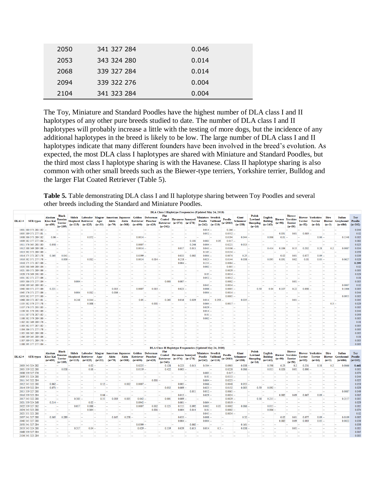| 2050 | 341 327 284 | 0.046 |
|------|-------------|-------|
| 2053 | 343 324 280 | 0.014 |
| 2068 | 339 327 284 | 0.014 |
| 2094 | 339 322 276 | 0.004 |
| 2104 | 341 323 284 | 0.004 |

The Toy, Miniature and Standard Poodles have the highest number of DLA class I and II haplotypes of any other pure breeds studied to date. The number of DLA class I and II haplotypes will probably increase a little with the testing of more dogs, but the incidence of any additional haplotypes in the breed is likely to be low. The large number of DLA class I and II haplotypes indicate that many different founders have been involved in the breed's evolution. As expected, the most DLA class I haplotypes are shared with Miniature and Standard Poodles, but the third most class I haplotype sharing is with the Havanese. Class II haplotype sharing is also common with other small breeds such as the Biewer-type terriers, Yorkshire terrier, Bulldog and the larger Flat Coated Retriever (Table 5).

**Table 5.** Table demonstrating DLA class I and II haplotype sharing between Toy Poodles and several other breeds including the Standard and Miniature Poodles.

|              |                         |                                  |                                                               |                     |                                                         |            |                                                                        |                    |                                 |           |                   | DLA Class I Haplotype Frequencies (Updated May 24, 2018)        |           |                          |                                        |                      |                                               |                                           |                                               |                           |                                                                       |                            |                                                               |                 |                                                        |                            |
|--------------|-------------------------|----------------------------------|---------------------------------------------------------------|---------------------|---------------------------------------------------------|------------|------------------------------------------------------------------------|--------------------|---------------------------------|-----------|-------------------|-----------------------------------------------------------------|-----------|--------------------------|----------------------------------------|----------------------|-----------------------------------------------|-------------------------------------------|-----------------------------------------------|---------------------------|-----------------------------------------------------------------------|----------------------------|---------------------------------------------------------------|-----------------|--------------------------------------------------------|----------------------------|
| DLA1#        | <b>STR</b> types        | Alaskan<br>Klee Kai<br>$(n=459)$ | <b>Black</b><br><b>Russian</b><br><b>Terrier</b><br>$(n=109)$ | Shiloh<br>$(n=115)$ | Shepherd Retriever Agar<br>$(n=125)$ $(n=33)$           |            | Labrador Magyar American Japanese Golden Doberman<br>Akita<br>$(n=79)$ | Akita<br>$(n=308)$ | Retriever Pinscher<br>$(n=690)$ | $(n=429)$ | Flat<br>$(n=341)$ | <b>Coated</b> Havanese Samoyed<br>Retriever $(n=374)$ $(n=278)$ |           | <b>Miniature Swedish</b> | Poodle Vallhund<br>$(n=242)$ $(n=110)$ | Poodle<br>$(n=2083)$ | <b>Giant</b><br><b>Schnauzer</b><br>$(n=158)$ | Polish<br>Lowland<br>Sheepdog<br>$(n=16)$ | English<br><b>Bulldog</b><br>$(n=163)$        | $(n=98)$                  | <b>Biewer</b><br><b>Biewer</b> Yorshire<br><b>Terrier</b><br>$(n=50)$ | <b>Terrier</b><br>$(n=52)$ | <b>Biewer Yorkshire</b><br><b>Terrier</b><br>$(n=16)$         | Biro<br>$(n=3)$ | <b>Italian</b><br><b>Biewer</b> Greyhound<br>$(n=686)$ | Toy<br>Poodle<br>$(n=102)$ |
|              | 1001 380 373 281 182 -  |                                  |                                                               |                     |                                                         |            |                                                                        | ÷                  |                                 |           |                   |                                                                 |           | $0.014 -$                |                                        | $0.266 -$            |                                               |                                           |                                               |                           |                                                                       |                            |                                                               |                 |                                                        | 0.044                      |
|              | 1005 389 371 277 181    |                                  | ь.                                                            |                     |                                                         |            |                                                                        | u,                 | l an                            |           |                   |                                                                 |           | $0.052 -$                |                                        | $0.0552 -$           |                                               |                                           |                                               | 0.031                     | 0.01                                                                  | $0.019 -$                  |                                                               |                 |                                                        | 0.02                       |
|              | 1008 386 373 289 182    | $0.06 -$                         |                                                               |                     | $0.072 -$                                               |            |                                                                        |                    | $0.0014 -$                      |           |                   |                                                                 |           |                          | н.                                     | 0.0194               | $0.044 -$                                     |                                           | 0.006                                         | $0.01 -$                  |                                                                       |                            | $0.06 -$                                                      |                 | 0.1348                                                 | 0.015                      |
|              | 1009 382 377 277 184    |                                  |                                                               |                     |                                                         |            |                                                                        |                    |                                 |           |                   |                                                                 | 0.103     | 0.083                    | 0.05                                   | $0.017 -$            |                                               |                                           |                                               |                           |                                                                       |                            |                                                               |                 | ь.                                                     | 0.083                      |
|              | 1011 376 365 281 180    | $0.058 -$                        |                                                               | سنا                 |                                                         |            |                                                                        | ш.                 | $0.0007 -$                      |           |                   |                                                                 | 0.246     | $0.004 -$                |                                        | 0.0221               | $0.013 -$                                     |                                           |                                               |                           |                                                                       |                            |                                                               |                 | ь.                                                     | 0.025                      |
|              | 1012 388 369 289 188    |                                  |                                                               | ь.                  |                                                         |            |                                                                        | н,                 | $0.0014 -$                      |           |                   | 0.017                                                           | 0.013     | $0.043 -$                |                                        | $0.0106 -$           |                                               | ъ.                                        | 0.414                                         | 0.184                     | 0.15                                                                  | 0.202                      | 0.28                                                          | 0.2             | 0.0087                                                 | 0.034                      |
|              | 1013 392 373 289 186    |                                  |                                                               |                     |                                                         |            |                                                                        | ÷.                 |                                 |           |                   |                                                                 |           | $0.165 -$                |                                        | $0.0134 -$           |                                               |                                           |                                               |                           |                                                                       |                            |                                                               |                 | -                                                      | 0.059                      |
|              | 1014 375 373 287 178    | 0.365                            | $0.041 -$                                                     |                     |                                                         |            | best of                                                                | l and              | $0.0399 -$                      |           | ь.                | 0.033                                                           | 0.002     | $0.004 -$                |                                        | 0.0074               | $0.25 -$                                      |                                           |                                               | 0.02                      | 0.01                                                                  | 0.077                      | $0.09 -$                                                      |                 | l an                                                   | 0.039                      |
|              | 1016 382 371 277 178    |                                  | $0.009 -$                                                     |                     | $0.012 -$                                               |            |                                                                        | la s               | 0.0014                          | $0.014 -$ |                   | $0.218 -$                                                       |           | $0.023 -$                |                                        | 0.0144               | $0.038 -$                                     |                                           | 0.095                                         | 0.031                     | 0.02                                                                  | 0.01                       | $0.03 -$                                                      |                 | 0.0627                                                 | 0.029                      |
|              | 1018 375 373 287 186 -- |                                  | ш.                                                            |                     |                                                         |            |                                                                        | -                  | ь.                              |           |                   | $0.004 -$                                                       |           | $0.233 -$                |                                        | $0.0084 -$           |                                               |                                           |                                               |                           |                                                                       |                            |                                                               |                 | ш.                                                     | 0.299                      |
|              | 1020 388 369 289 184    |                                  |                                                               |                     |                                                         |            |                                                                        | u,                 |                                 |           |                   |                                                                 |           | $0.002 -$                |                                        | $0.005 -$            |                                               |                                           |                                               |                           |                                                                       |                            |                                                               |                 |                                                        | 0.02                       |
|              | 1021 380 373 289 186 -- |                                  |                                                               |                     |                                                         |            |                                                                        |                    |                                 |           |                   |                                                                 |           |                          |                                        | $0.0029 -$           |                                               |                                           |                                               |                           |                                                                       |                            |                                                               |                 |                                                        | 0.005                      |
|              | 1028 376 369 291 186    |                                  |                                                               |                     |                                                         |            |                                                                        |                    |                                 |           |                   |                                                                 |           | $0.05 -$                 |                                        | $0.0014 -$           |                                               |                                           |                                               |                           |                                                                       |                            |                                                               |                 |                                                        | 0.029                      |
|              | 1031 382 371 277 186    |                                  |                                                               |                     |                                                         |            |                                                                        | ш.                 |                                 |           |                   |                                                                 | L.        | $0.052 -$                |                                        | $0.0012 -$           |                                               |                                           |                                               |                           |                                                                       |                            |                                                               |                 |                                                        | 0.01                       |
|              | 1035 386 373 277 184    |                                  | н.                                                            | $0.004 -$           |                                                         |            |                                                                        | н.                 | w.                              |           | 0.003             | $0.007 -$                                                       |           |                          | ь.                                     | $0.0002 -$           |                                               | H,                                        |                                               |                           | 0.01                                                                  |                            |                                                               |                 | ь.                                                     | 0.005                      |
|              | 1036 389 365 289 180    |                                  | ь.                                                            | ь.                  |                                                         |            |                                                                        | ш.                 | ь.                              |           | ь.                |                                                                 |           | $0.045 -$                |                                        | $0.0034 -$           |                                               |                                           |                                               |                           |                                                                       |                            | ш.                                                            |                 | 0.0007                                                 | 0.02                       |
|              | 1040 380 371 277 186    | $0.221 -$                        |                                                               |                     |                                                         | <b>144</b> | $0.013 -$                                                              |                    | 0.0007                          | $0.013 -$ |                   | $0.023 -$                                                       |           | $0.006 -$                |                                        | $0.0005 -$           |                                               | 0.59                                      | 0.04                                          | 0.107                     | 0.22                                                                  | $0.038 -$                  |                                                               |                 | 0.1006                                                 | 0.005                      |
|              | 1045 376 371 277 186 -- |                                  | $\sim$                                                        | 0.004               | $0.012 -$                                               |            | $0.006 -$                                                              |                    | <b>Section</b>                  |           | н.                |                                                                 |           | $0.004 -$                |                                        | $0.0014 -$           |                                               |                                           |                                               |                           |                                                                       |                            |                                                               |                 | н.                                                     | 0.044                      |
|              | 1053 382 377 277 186 -- |                                  | ÷                                                             | <b>Section</b>      |                                                         |            |                                                                        |                    | <b>1999</b>                     |           |                   |                                                                 |           |                          | ÷.                                     | $0.0005 -$           |                                               |                                           |                                               |                           |                                                                       |                            |                                                               |                 | 0.0955                                                 | 0.005                      |
|              | 1068 380 373 287 181    |                                  | m.                                                            | 0.248               | $0.044 -$                                               |            |                                                                        | н.                 | $0.05 -$                        |           | 0.265             | 0.016                                                           | 0.029     | 0.014                    | $0.359 -$                              |                      | $0.035 -$                                     |                                           |                                               |                           | $0.01 -$                                                              |                            | н.                                                            |                 | h.                                                     | 0.015                      |
|              | 1105 382 379 277 178 -- |                                  |                                                               |                     | $0.068 -$                                               |            |                                                                        |                    | ь.                              | $0.001 -$ |                   |                                                                 |           | $0.064 -$                |                                        | $0.0017 -$           |                                               |                                           |                                               |                           |                                                                       |                            |                                                               | $0.3 -$         |                                                        | 0.029                      |
|              | 1107 376 375 293 183 -- |                                  |                                                               |                     |                                                         |            |                                                                        |                    |                                 |           |                   |                                                                 |           | $0.029 -$                |                                        |                      |                                               |                                           |                                               |                           |                                                                       |                            |                                                               |                 |                                                        | 0.015                      |
|              | 1109 381 379 291 186    |                                  |                                                               | سنا                 |                                                         |            |                                                                        | ш.                 |                                 |           |                   |                                                                 |           | $0.014 -$                |                                        |                      |                                               |                                           |                                               |                           |                                                                       |                            | ш.                                                            |                 |                                                        | 0.044                      |
|              | 1111 387 378 287 182    |                                  |                                                               | la a                |                                                         |            |                                                                        | ш.                 |                                 |           |                   |                                                                 | L.        | $0.01 -$                 |                                        | ш.                   |                                               |                                           |                                               |                           |                                                                       |                            | ш.                                                            |                 | ь.                                                     | 0.059                      |
|              | 1168 382 379 289 186    |                                  |                                                               | la a                |                                                         |            |                                                                        | u,                 |                                 |           |                   |                                                                 | L.        | $0.002 -$                |                                        | ш.                   |                                               |                                           |                                               | -                         |                                                                       |                            | u,                                                            |                 | ь.                                                     | 0.005                      |
|              | 1182 382 369 289 176 -- |                                  |                                                               | <b>Section</b>      |                                                         |            |                                                                        | m.                 |                                 |           |                   |                                                                 | ×.        |                          |                                        |                      |                                               |                                           |                                               | <b>Taxa</b>               |                                                                       |                            | m.                                                            |                 | <b>Section</b>                                         | 0.01                       |
|              | 1183 382 377 287 182    |                                  | ш.                                                            | han i               |                                                         |            |                                                                        |                    | la s                            |           |                   |                                                                 |           |                          | ш.                                     |                      |                                               |                                           |                                               |                           |                                                                       |                            | ш.                                                            |                 | la a                                                   | 0.005                      |
|              | 1184 386 371 277 178 -- |                                  |                                                               | <b>Section</b>      |                                                         |            |                                                                        | н.                 |                                 |           |                   |                                                                 |           |                          |                                        |                      |                                               |                                           |                                               |                           |                                                                       |                            | ш,                                                            |                 | ÷                                                      | 0.005                      |
|              | 1185 388 365 289 188    |                                  |                                                               |                     |                                                         |            |                                                                        |                    |                                 |           |                   |                                                                 |           |                          |                                        |                      |                                               |                                           |                                               |                           |                                                                       |                            |                                                               |                 |                                                        | 0.005                      |
|              | 1186 389 365 289 186 -- |                                  |                                                               |                     |                                                         |            |                                                                        |                    |                                 |           |                   |                                                                 |           |                          |                                        |                      |                                               |                                           |                                               |                           |                                                                       |                            |                                                               |                 |                                                        | 0.01                       |
|              | 1187 389 371 289 176 -  |                                  |                                                               |                     |                                                         |            |                                                                        | н.                 | ь.                              |           |                   |                                                                 |           |                          |                                        | н.                   | ь.                                            |                                           |                                               |                           |                                                                       |                            | ÷.                                                            |                 | ш.                                                     | 0.005                      |
|              | 1188 395 377 277 184 -- |                                  | ш.                                                            | ь.                  |                                                         | ×.         | h.                                                                     | m.                 | l an                            |           |                   |                                                                 |           |                          |                                        |                      | h.                                            | ь.                                        | la se                                         |                           |                                                                       |                            | m.                                                            |                 | la s                                                   | 0.005                      |
|              |                         |                                  |                                                               |                     |                                                         |            |                                                                        |                    |                                 |           |                   | DLA Class II Haplotype Frequencies (Updated May 24, 2018)       |           |                          |                                        |                      |                                               |                                           |                                               |                           |                                                                       |                            |                                                               |                 |                                                        |                            |
| <b>DLA2#</b> | <b>STR</b> types        | Alaskan<br>Klee Kai<br>$(n=459)$ | <b>Black</b><br><b>Russian</b><br><b>Terrier</b><br>$(n=109)$ | Shiloh              | Shepherd Retriever Agar<br>$(n=115)$ $(n=125)$ $(n=33)$ |            | Labrador Magyar American Japanese Golden Doberman<br>Akita<br>$(n=79)$ | Akita<br>$(n=308)$ | Retriever Pinscher<br>$(n=690)$ | $(n=429)$ | Flat<br>$(n=341)$ | <b>Coated</b> Havanese Samoyed<br>Retriever (n=374) (n=278)     |           | <b>Miniature Swedish</b> | Poodle Vallhund<br>$(n=242)$ $(n=110)$ | Poodle<br>$(n=2083)$ | <b>Giant</b><br><b>Schnauzer</b><br>$(n=158)$ | Polish<br>Lowland<br>Sheepdog<br>$(n=16)$ | <b>English</b><br><b>Bulldog</b><br>$(n=163)$ | <b>Biewer</b><br>$(n=98)$ | <b>Biewer</b><br><b>Yorshire</b><br><b>Terrier</b><br>$(n=50)$        | $(n=52)$                   | <b>Biewer Yorkshire</b><br><b>Terrier Terrier</b><br>$(n=16)$ | Biro<br>$(n=3)$ | <b>Italian</b><br><b>Biewer</b> Greyhound<br>$(n=686)$ | Toy<br>Poodle<br>$(n=102)$ |
|              | 2003 343 324 282        |                                  |                                                               |                     | $0.02 -$                                                |            |                                                                        |                    | $0.0225 -$                      |           | 0.128             | 0.223                                                           | 0.013     | $0.504 -$                |                                        | 0.0903               | $0.038 -$                                     |                                           | 0.598                                         | 0.23                      | 0.2                                                                   | 0.231                      | 0.38                                                          | 0.2             | 0.0066                                                 | 0.441                      |
|              | 2005 339 322 280        | ÷.                               | $0.018 -$                                                     |                     | $0.06 -$                                                |            |                                                                        |                    | $0.0159 -$                      |           | 0.422             | $0.003 -$                                                       |           |                          |                                        | 0.0228               | $0.006 -$                                     |                                           | 0.015                                         | 0.026                     | 0.01                                                                  | 0.096                      |                                                               |                 |                                                        | 0.005                      |
|              | 2008 339 327 276        |                                  | ш.                                                            |                     |                                                         |            |                                                                        |                    |                                 |           |                   |                                                                 |           | $0.083 -$                |                                        | $0.017 -$            |                                               |                                           |                                               |                           |                                                                       |                            |                                                               |                 |                                                        | 0.074                      |
|              | 2009 351 324 280        | ÷.                               | ь.                                                            |                     |                                                         |            | L.                                                                     |                    | ь.                              |           | ь.                |                                                                 | ь.        | $0.01 -$                 |                                        | $0.0113 -$           |                                               | L.                                        |                                               |                           |                                                                       |                            |                                                               |                 | ÷.                                                     | 0.044                      |
|              | 2011 345 322 284        |                                  | ш.                                                            |                     |                                                         |            |                                                                        |                    | l an                            | 0.001     | ь.                |                                                                 | ь.        | $0.004 -$                |                                        | $0.0223 -$           |                                               |                                           |                                               |                           |                                                                       |                            | ь.                                                            |                 | ь.                                                     | 0.025                      |
|              | 2012 345 322 280        | $0.062 -$                        |                                                               | <b>Section</b>      |                                                         | $0.12 -$   |                                                                        | 0.002              | $0.0007 -$                      |           | u.                | $0.005 -$                                                       |           | $0.066 -$                |                                        | 0.0048               | $0.013 -$                                     |                                           |                                               |                           |                                                                       |                            |                                                               |                 | ш.                                                     | 0.059                      |
|              | 2014 339 322 284        | $0.073 -$                        |                                                               | <b>Section</b>      |                                                         | l an       | ь.                                                                     | н.                 | <b>140</b>                      |           | 0.032             | $0.009 -$                                                       |           | $0.023 -$                |                                        | 0.0132               | 0.003                                         | 0.59                                      | $0.092 -$                                     |                           |                                                                       |                            |                                                               |                 | <b>Section</b>                                         | 0.029                      |
|              | 2015 339 327 280        |                                  | н.                                                            | $\sim$              |                                                         |            |                                                                        |                    |                                 |           | н.                |                                                                 | 0.011     | $0.052 -$                |                                        | $0.0065 -$           |                                               |                                           |                                               |                           |                                                                       |                            |                                                               |                 | 0.0087                                                 | 0.049                      |
|              | 2016 339 323 284        |                                  | ш.                                                            | ш.                  |                                                         | $0.06 -$   |                                                                        |                    |                                 |           | ш,                | $0.013 -$                                                       |           | $0.029 -$                |                                        | $0.0024 -$           |                                               |                                           |                                               | 0.082                     | 0.09                                                                  | 0.067                      | $0.09 -$                                                      |                 | ь.                                                     | 0.015                      |
|              | 2017 343 322 280        | ш,                               | u.                                                            | $0.383 -$           |                                                         | 0.35       | 0.019                                                                  | 0.005              | $0.042 -$                       |           | 0.001             | $0.009 -$                                                       |           |                          | ш.                                     | $0.0029 -$           |                                               | 0.38                                      | $0.215 -$                                     |                           |                                                                       |                            |                                                               |                 | 0.2157                                                 | 0.005                      |
|              | 2021 339 324 268        | $0.214 -$                        |                                                               | ь.                  | $0.02 -$                                                |            |                                                                        |                    | $0.0942 -$                      |           | L.                | $0.001 -$                                                       |           | $0.064 -$                |                                        | $0.0019 -$           |                                               |                                           |                                               |                           |                                                                       |                            |                                                               |                 | ш.                                                     | 0.029                      |
|              | 2022 339 327 282        |                                  |                                                               | 0.057               | $0.088 -$                                               |            |                                                                        |                    | 0.0007                          | 0.002     | 0.125             | 0.115                                                           | 0.092     | 0.002                    | 0.05                                   | 0.0002               | $0.006 -$                                     |                                           | $0.015 -$                                     |                           |                                                                       |                            |                                                               |                 | ш.                                                     | 0.015                      |
|              | 2024 343 323 280        | -                                | <b>Section</b>                                                | <b>Section</b>      | $0.064 -$                                               |            | best of                                                                |                    | l an                            | 0.001     |                   | 0.004                                                           | 0.014     | $0.01 -$                 |                                        | $0.0002 -$           |                                               | . —                                       | $0.006 -$                                     |                           |                                                                       |                            |                                                               | ь.              | <b>Section</b>                                         | 0.074                      |
|              | 2025 351 321 280        |                                  | Ŀ.                                                            |                     |                                                         |            |                                                                        |                    | l an                            |           |                   |                                                                 |           | $0.045 -$                |                                        | $0.0034 -$           |                                               |                                           |                                               |                           |                                                                       |                            | ×.                                                            |                 | la s                                                   | 0.02                       |
|              | 2037 341 327 280        | 0.365                            | $0.289 -$                                                     |                     |                                                         |            | 0.165                                                                  | $0.258 -$          |                                 |           | н.                | $0.033 -$                                                       |           | $0.008 -$                |                                        | ш,                   | $0.32 -$                                      |                                           |                                               | 0.02                      | 0.01                                                                  | 0.077                      | $0.09 -$                                                      |                 | 0.0109                                                 | 0.005                      |
|              | 2040 345 327 280        | a.                               | ш.                                                            |                     |                                                         |            |                                                                        |                    |                                 |           | -                 | $0.004 -$                                                       |           | $0.004 -$                |                                        |                      |                                               |                                           |                                               | 0.082                     | 0.09                                                                  | 0.019                      | $0.03 -$                                                      |                 | 0.0022                                                 | 0.039                      |
|              | 2050 341 327 284        | н.                               |                                                               |                     |                                                         |            |                                                                        |                    | $0.0399 -$                      |           | н.                | ÷.                                                              | $0.002 -$ |                          | ш,                                     | ш.                   | $0.161 -$                                     |                                           |                                               | <b>100</b>                |                                                                       |                            |                                                               |                 | ÷.                                                     | 0.039                      |
|              | 2053 343 324 280        | ÷.                               | ÷.                                                            | 0.317               | $0.04 -$                                                |            |                                                                        |                    | $0.029 -$                       |           | 0.139             | 0.039                                                           | 0.613     | 0.014                    |                                        | $0.5 -$              | $0.038 -$                                     |                                           |                                               |                           | 0.01                                                                  |                            |                                                               |                 |                                                        | 0.015                      |
|              | 2068 339 327 284        | н.                               | m.                                                            |                     |                                                         |            |                                                                        |                    |                                 |           |                   |                                                                 |           | h.                       | н.                                     |                      |                                               |                                           |                                               |                           |                                                                       |                            |                                                               |                 |                                                        | 0.015                      |
|              | 2104 341 323 284        | $\sim$                           |                                                               |                     |                                                         |            |                                                                        |                    |                                 |           |                   |                                                                 |           |                          |                                        |                      |                                               |                                           |                                               |                           |                                                                       |                            |                                                               |                 |                                                        | 0.005                      |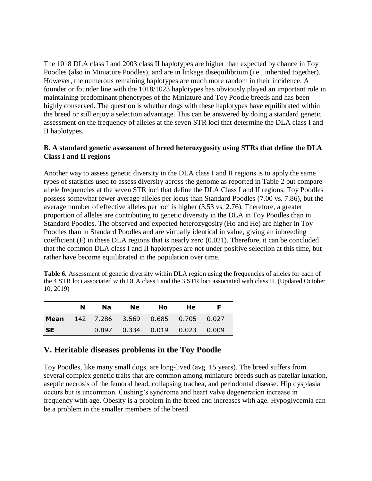The 1018 DLA class I and 2003 class II haplotypes are higher than expected by chance in Toy Poodles (also in Miniature Poodles), and are in linkage disequilibrium (i.e., inherited together). However, the numerous remaining haplotypes are much more random in their incidence. A founder or founder line with the 1018/1023 haplotypes has obviously played an important role in maintaining predominant phenotypes of the Miniature and Toy Poodle breeds and has been highly conserved. The question is whether dogs with these haplotypes have equilibrated within the breed or still enjoy a selection advantage. This can be answered by doing a standard genetic assessment on the frequency of alleles at the seven STR loci that determine the DLA class I and II haplotypes.

#### **B. A standard genetic assessment of breed heterozygosity using STRs that define the DLA Class I and II regions**

Another way to assess genetic diversity in the DLA class I and II regions is to apply the same types of statistics used to assess diversity across the genome as reported in Table 2 but compare allele frequencies at the seven STR loci that define the DLA Class I and II regions. Toy Poodles possess somewhat fewer average alleles per locus than Standard Poodles (7.00 vs. 7.86), but the average number of effective alleles per loci is higher (3.53 vs. 2.76). Therefore, a greater proportion of alleles are contributing to genetic diversity in the DLA in Toy Poodles than in Standard Poodles. The observed and expected heterozygosity (Ho and He) are higher in Toy Poodles than in Standard Poodles and are virtually identical in value, giving an inbreeding coefficient (F) in these DLA regions that is nearly zero (0.021). Therefore, it can be concluded that the common DLA class I and II haplotypes are not under positive selection at this time, but rather have become equilibrated in the population over time.

Table 6. Assessment of genetic diversity within DLA region using the frequencies of alleles for each of the 4 STR loci associated with DLA class I and the 3 STR loci associated with class II. (Updated October 10, 2019)

|           | N. | Na l | <b>Ne</b>                               | Ho. | <b>He</b> | - F |  |  |  |
|-----------|----|------|-----------------------------------------|-----|-----------|-----|--|--|--|
| Mean      |    |      | 142 7.286 3.569 0.685 0.705 0.027       |     |           |     |  |  |  |
| <b>SE</b> |    |      | $0.897$ $0.334$ $0.019$ $0.023$ $0.009$ |     |           |     |  |  |  |

### **V. Heritable diseases problems in the Toy Poodle**

Toy Poodles, like many small dogs, are long-lived (avg. 15 years). The breed suffers from several complex genetic traits that are common among miniature breeds such as patellar luxation, aseptic necrosis of the femoral head, collapsing trachea, and periodontal disease. Hip dysplasia occurs but is uncommon. Cushing's syndrome and heart valve degeneration increase in frequency with age. Obesity is a problem in the breed and increases with age. Hypoglycemia can be a problem in the smaller members of the breed.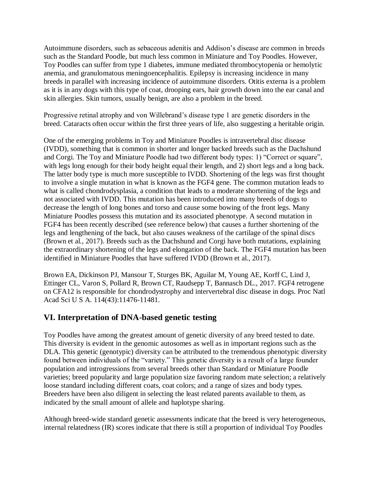Autoimmune disorders, such as sebaceous adenitis and Addison's disease are common in breeds such as the Standard Poodle, but much less common in Miniature and Toy Poodles. However, Toy Poodles can suffer from type 1 diabetes, immune mediated thrombocytopenia or hemolytic anemia, and granulomatous meningoencephalitis. Epilepsy is increasing incidence in many breeds in parallel with increasing incidence of autoimmune disorders. Otitis externa is a problem as it is in any dogs with this type of coat, drooping ears, hair growth down into the ear canal and skin allergies. Skin tumors, usually benign, are also a problem in the breed.

Progressive retinal atrophy and von Willebrand's disease type 1 are genetic disorders in the breed. Cataracts often occur within the first three years of life, also suggesting a heritable origin.

One of the emerging problems in Toy and Miniature Poodles is intravertebral disc disease (IVDD), something that is common in shorter and longer backed breeds such as the Dachshund and Corgi. The Toy and Miniature Poodle had two different body types: 1) "Correct or square", with legs long enough for their body height equal their length, and 2) short legs and a long back. The latter body type is much more susceptible to IVDD. Shortening of the legs was first thought to involve a single mutation in what is known as the FGF4 gene. The common mutation leads to what is called chondrodysplasia, a condition that leads to a moderate shortening of the legs and not associated with IVDD. This mutation has been introduced into many breeds of dogs to decrease the length of long bones and torso and cause some bowing of the front legs. Many Miniature Poodles possess this mutation and its associated phenotype. A second mutation in FGF4 has been recently described (see reference below) that causes a further shortening of the legs and lengthening of the back, but also causes weakness of the cartilage of the spinal discs (Brown et al., 2017). Breeds such as the Dachshund and Corgi have both mutations, explaining the extraordinary shortening of the legs and elongation of the back. The FGF4 mutation has been identified in Miniature Poodles that have suffered IVDD (Brown et al., 2017).

Brown EA, Dickinson PJ, Mansour T, Sturges BK, Aguilar M, Young AE, Korff C, Lind J, Ettinger CL, Varon S, Pollard R, Brown CT, Raudsepp T, Bannasch DL., 2017. FGF4 retrogene on CFA12 is responsible for chondrodystrophy and intervertebral disc disease in dogs. Proc Natl Acad Sci U S A. 114(43):11476-11481.

# **VI. Interpretation of DNA-based genetic testing**

Toy Poodles have among the greatest amount of genetic diversity of any breed tested to date. This diversity is evident in the genomic autosomes as well as in important regions such as the DLA. This genetic (genotypic) diversity can be attributed to the tremendous phenotypic diversity found between individuals of the "variety." This genetic diversity is a result of a large founder population and introgressions from several breeds other than Standard or Miniature Poodle varieties; breed popularity and large population size favoring random mate selection; a relatively loose standard including different coats, coat colors; and a range of sizes and body types. Breeders have been also diligent in selecting the least related parents available to them, as indicated by the small amount of allele and haplotype sharing.

Although breed-wide standard genetic assessments indicate that the breed is very heterogeneous, internal relatedness (IR) scores indicate that there is still a proportion of individual Toy Poodles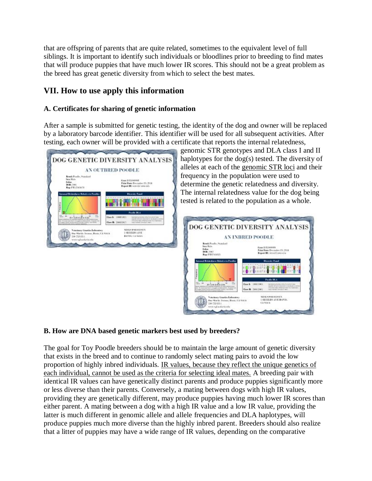that are offspring of parents that are quite related, sometimes to the equivalent level of full siblings. It is important to identify such individuals or bloodlines prior to breeding to find mates that will produce puppies that have much lower IR scores. This should not be a great problem as the breed has great genetic diversity from which to select the best mates.

# **VII. How to use apply this information**

#### **A. Certificates for sharing of genetic information**

After a sample is submitted for genetic testing, the identity of the dog and owner will be replaced by a laboratory barcode identifier. This identifier will be used for all subsequent activities. After testing, each owner will be provided with a certificate that reports the internal relatedness,



genomic STR genotypes and DLA class I and II haplotypes for the dog(s) tested. The diversity of alleles at each of the [genomic STR loci](https://www.vgl.ucdavis.edu/services/dog/GeneticDiversityInToyPoodlesSTRInfo.php) and their frequency in the population were used to determine the genetic relatedness and diversity. The internal relatedness value for the dog being tested is related to the population as a whole.



#### **B. How are DNA based genetic markers best used by breeders?**

The goal for Toy Poodle breeders should be to maintain the large amount of genetic diversity that exists in the breed and to continue to randomly select mating pairs to avoid the low proportion of highly inbred individuals. IR values, because they reflect the unique genetics of each individual, cannot be used as the criteria for selecting ideal mates. A breeding pair with identical IR values can have genetically distinct parents and produce puppies significantly more or less diverse than their parents. Conversely, a mating between dogs with high IR values, providing they are genetically different, may produce puppies having much lower IR scores than either parent. A mating between a dog with a high IR value and a low IR value, providing the latter is much different in genomic allele and allele frequencies and DLA haplotypes, will produce puppies much more diverse than the highly inbred parent. Breeders should also realize that a litter of puppies may have a wide range of IR values, depending on the comparative